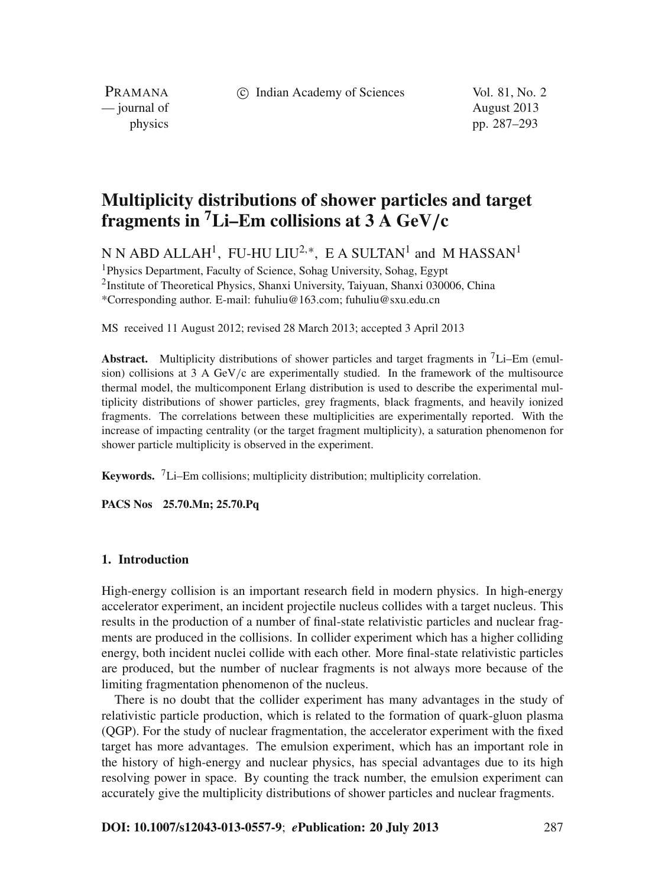c Indian Academy of Sciences Vol. 81, No. 2

PRAMANA — journal of August 2013

physics pp. 287–293

# **Multiplicity distributions of shower particles and target fragments in 7Li–Em collisions at 3 A GeV***/***c**

N N ABD ALLAH<sup>1</sup>, FU-HU LIU<sup>2,\*</sup>, E A SULTAN<sup>1</sup> and M HASSAN<sup>1</sup>

1Physics Department, Faculty of Science, Sohag University, Sohag, Egypt 2Institute of Theoretical Physics, Shanxi University, Taiyuan, Shanxi 030006, China \*Corresponding author. E-mail: fuhuliu@163.com; fuhuliu@sxu.edu.cn

MS received 11 August 2012; revised 28 March 2013; accepted 3 April 2013

**Abstract.** Multiplicity distributions of shower particles and target fragments in 7Li–Em (emulsion) collisions at  $3 \text{ A}$  GeV/c are experimentally studied. In the framework of the multisource thermal model, the multicomponent Erlang distribution is used to describe the experimental multiplicity distributions of shower particles, grey fragments, black fragments, and heavily ionized fragments. The correlations between these multiplicities are experimentally reported. With the increase of impacting centrality (or the target fragment multiplicity), a saturation phenomenon for shower particle multiplicity is observed in the experiment.

**Keywords.** 7Li–Em collisions; multiplicity distribution; multiplicity correlation.

**PACS Nos 25.70.Mn; 25.70.Pq**

#### **1. Introduction**

High-energy collision is an important research field in modern physics. In high-energy accelerator experiment, an incident projectile nucleus collides with a target nucleus. This results in the production of a number of final-state relativistic particles and nuclear fragments are produced in the collisions. In collider experiment which has a higher colliding energy, both incident nuclei collide with each other. More final-state relativistic particles are produced, but the number of nuclear fragments is not always more because of the limiting fragmentation phenomenon of the nucleus.

There is no doubt that the collider experiment has many advantages in the study of relativistic particle production, which is related to the formation of quark-gluon plasma (QGP). For the study of nuclear fragmentation, the accelerator experiment with the fixed target has more advantages. The emulsion experiment, which has an important role in the history of high-energy and nuclear physics, has special advantages due to its high resolving power in space. By counting the track number, the emulsion experiment can accurately give the multiplicity distributions of shower particles and nuclear fragments.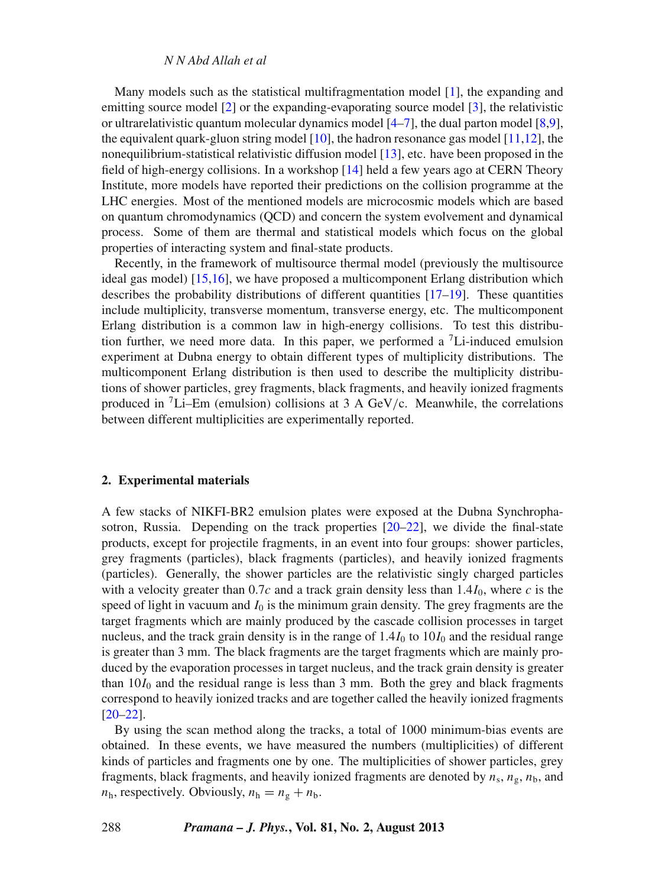*N N Abd Allah et al*

Many models such as the statistical multifragmentation model [\[1\]](#page-6-0), the expanding and emitting source model [\[2\]](#page-6-1) or the expanding-evaporating source model [\[3](#page-6-2)], the relativistic or ultrarelativistic quantum molecular dynamics model [\[4](#page-6-3)[–7\]](#page-6-4), the dual parton model [\[8](#page-6-5)[,9](#page-6-6)], the equivalent quark-gluon string model [\[10\]](#page-6-7), the hadron resonance gas model [\[11](#page-6-8)[,12](#page-6-9)], the nonequilibrium-statistical relativistic diffusion model [\[13\]](#page-6-10), etc. have been proposed in the field of high-energy collisions. In a workshop [\[14](#page-6-11)] held a few years ago at CERN Theory Institute, more models have reported their predictions on the collision programme at the LHC energies. Most of the mentioned models are microcosmic models which are based on quantum chromodynamics (QCD) and concern the system evolvement and dynamical process. Some of them are thermal and statistical models which focus on the global properties of interacting system and final-state products.

Recently, in the framework of multisource thermal model (previously the multisource ideal gas model) [\[15](#page-6-12)[,16](#page-6-13)], we have proposed a multicomponent Erlang distribution which describes the probability distributions of different quantities  $[17-19]$  $[17-19]$ . These quantities include multiplicity, transverse momentum, transverse energy, etc. The multicomponent Erlang distribution is a common law in high-energy collisions. To test this distribution further, we need more data. In this paper, we performed a  $\ell$ -induced emulsion experiment at Dubna energy to obtain different types of multiplicity distributions. The multicomponent Erlang distribution is then used to describe the multiplicity distributions of shower particles, grey fragments, black fragments, and heavily ionized fragments produced in  ${}^{7}$ Li–Em (emulsion) collisions at 3 A GeV/c. Meanwhile, the correlations between different multiplicities are experimentally reported.

## **2. Experimental materials**

A few stacks of NIKFI-BR2 emulsion plates were exposed at the Dubna Synchrophasotron, Russia. Depending on the track properties [\[20](#page-6-16)[–22\]](#page-6-17), we divide the final-state products, except for projectile fragments, in an event into four groups: shower particles, grey fragments (particles), black fragments (particles), and heavily ionized fragments (particles). Generally, the shower particles are the relativistic singly charged particles with a velocity greater than  $0.7c$  and a track grain density less than  $1.4I_0$ , where *c* is the speed of light in vacuum and  $I_0$  is the minimum grain density. The grey fragments are the target fragments which are mainly produced by the cascade collision processes in target nucleus, and the track grain density is in the range of  $1.4I_0$  to  $10I_0$  and the residual range is greater than 3 mm. The black fragments are the target fragments which are mainly produced by the evaporation processes in target nucleus, and the track grain density is greater than  $10I_0$  and the residual range is less than 3 mm. Both the grey and black fragments correspond to heavily ionized tracks and are together called the heavily ionized fragments [\[20](#page-6-16)[–22](#page-6-17)].

By using the scan method along the tracks, a total of 1000 minimum-bias events are obtained. In these events, we have measured the numbers (multiplicities) of different kinds of particles and fragments one by one. The multiplicities of shower particles, grey fragments, black fragments, and heavily ionized fragments are denoted by  $n_s$ ,  $n_g$ ,  $n_b$ , and  $n_h$ , respectively. Obviously,  $n_h = n_g + n_b$ .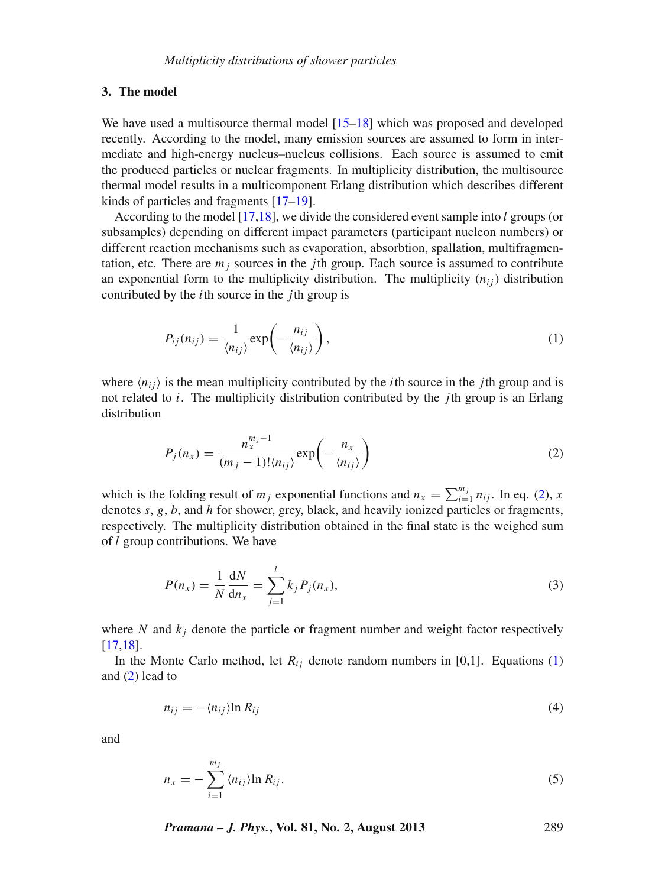#### **3. The model**

We have used a multisource thermal model [\[15](#page-6-12)[–18](#page-6-18)] which was proposed and developed recently. According to the model, many emission sources are assumed to form in intermediate and high-energy nucleus–nucleus collisions. Each source is assumed to emit the produced particles or nuclear fragments. In multiplicity distribution, the multisource thermal model results in a multicomponent Erlang distribution which describes different kinds of particles and fragments [\[17](#page-6-14)[–19](#page-6-15)].

According to the model [\[17](#page-6-14)[,18](#page-6-18)], we divide the considered event sample into *l* groups (or subsamples) depending on different impact parameters (participant nucleon numbers) or different reaction mechanisms such as evaporation, absorbtion, spallation, multifragmentation, etc. There are  $m_i$  sources in the *j*th group. Each source is assumed to contribute an exponential form to the multiplicity distribution. The multiplicity  $(n_{ij})$  distribution contributed by the *i*th source in the *j*th group is

<span id="page-2-1"></span>
$$
P_{ij}(n_{ij}) = \frac{1}{\langle n_{ij} \rangle} \exp\left(-\frac{n_{ij}}{\langle n_{ij} \rangle}\right),\tag{1}
$$

where  $\langle n_{ij} \rangle$  is the mean multiplicity contributed by the *i*th source in the *j*th group and is not related to *i*. The multiplicity distribution contributed by the *j*th group is an Erlang distribution

<span id="page-2-0"></span>
$$
P_j(n_x) = \frac{n_x^{m_j - 1}}{(m_j - 1)!(n_{ij})} \exp\left(-\frac{n_x}{\langle n_{ij} \rangle}\right)
$$
 (2)

which is the folding result of  $m_j$  exponential functions and  $n_x = \sum_{i=1}^{m_j} n_{ij}$ . In eq. [\(2\)](#page-2-0), *x* denotes *s*, *g*, *b*, and *h* for shower, grey, black, and heavily ionized particles or fragments, respectively. The multiplicity distribution obtained in the final state is the weighed sum of *l* group contributions. We have

$$
P(n_x) = \frac{1}{N} \frac{dN}{dn_x} = \sum_{j=1}^{l} k_j P_j(n_x),
$$
\n(3)

where  $N$  and  $k_j$  denote the particle or fragment number and weight factor respectively [\[17](#page-6-14)[,18\]](#page-6-18).

In the Monte Carlo method, let  $R_{ij}$  denote random numbers in [0,1]. Equations [\(1\)](#page-2-1) and [\(2\)](#page-2-0) lead to

$$
n_{ij} = -\langle n_{ij} \rangle \ln R_{ij} \tag{4}
$$

and

$$
n_x = -\sum_{i=1}^{m_j} \langle n_{ij} \rangle \ln R_{ij}.
$$
 (5)

*Pramana – J. Phys.***, Vol. 81, No. 2, August 2013** 289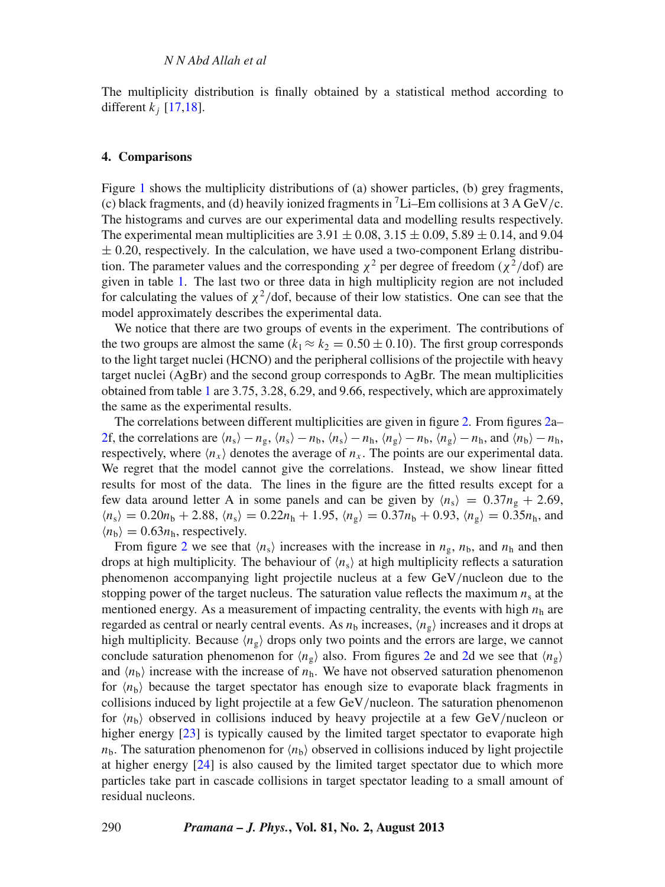The multiplicity distribution is finally obtained by a statistical method according to different  $k_i$  [\[17](#page-6-14)[,18\]](#page-6-18).

# **4. Comparisons**

Figure [1](#page-4-0) shows the multiplicity distributions of (a) shower particles, (b) grey fragments, (c) black fragments, and (d) heavily ionized fragments in  ${}^{7}$ Li–Em collisions at 3 A GeV/c. The histograms and curves are our experimental data and modelling results respectively. The experimental mean multiplicities are  $3.91 \pm 0.08$ ,  $3.15 \pm 0.09$ ,  $5.89 \pm 0.14$ , and  $9.04$  $\pm$  0.20, respectively. In the calculation, we have used a two-component Erlang distribution. The parameter values and the corresponding  $\chi^2$  per degree of freedom ( $\chi^2$ /dof) are given in table [1.](#page-4-1) The last two or three data in high multiplicity region are not included for calculating the values of  $\chi^2$ /dof, because of their low statistics. One can see that the model approximately describes the experimental data.

We notice that there are two groups of events in the experiment. The contributions of the two groups are almost the same  $(k_1 \approx k_2 = 0.50 \pm 0.10)$ . The first group corresponds to the light target nuclei (HCNO) and the peripheral collisions of the projectile with heavy target nuclei (AgBr) and the second group corresponds to AgBr. The mean multiplicities obtained from table [1](#page-4-1) are 3.75, 3.28, 6.29, and 9.66, respectively, which are approximately the same as the experimental results.

The correlations between different multiplicities are given in figure [2.](#page-5-0) From figures [2a](#page-5-0)– [2f](#page-5-0), the correlations are  $\langle n_s \rangle - n_g$ ,  $\langle n_s \rangle - n_b$ ,  $\langle n_s \rangle - n_h$ ,  $\langle n_g \rangle - n_b$ ,  $\langle n_g \rangle - n_h$ , and  $\langle n_b \rangle - n_h$ respectively, where  $\langle n_x \rangle$  denotes the average of  $n_x$ . The points are our experimental data. We regret that the model cannot give the correlations. Instead, we show linear fitted results for most of the data. The lines in the figure are the fitted results except for a few data around letter A in some panels and can be given by  $\langle n_s \rangle = 0.37 n_g + 2.69$ ,  $n_s = 0.20n_b + 2.88$ ,  $n_s = 0.22n_b + 1.95$ ,  $n_g = 0.37n_b + 0.93$ ,  $n_g = 0.35n_b$ , and  $\langle n_{\rm b} \rangle = 0.63 n_{\rm h}$ , respectively.

From figure [2](#page-5-0) we see that  $\langle n_s \rangle$  increases with the increase in  $n_g$ ,  $n_b$ , and  $n_h$  and then drops at high multiplicity. The behaviour of  $\langle n_s \rangle$  at high multiplicity reflects a saturation phenomenon accompanying light projectile nucleus at a few GeV/nucleon due to the stopping power of the target nucleus. The saturation value reflects the maximum  $n<sub>s</sub>$  at the mentioned energy. As a measurement of impacting centrality, the events with high  $n<sub>h</sub>$  are regarded as central or nearly central events. As  $n<sub>b</sub>$  increases,  $\langle n_{\rm g} \rangle$  increases and it drops at high multiplicity. Because  $\langle n_g \rangle$  drops only two points and the errors are large, we cannot conclude saturation phenomenon for  $\langle n_g \rangle$  also. From figures [2e](#page-5-0) and [2d](#page-5-0) we see that  $\langle n_g \rangle$ and  $\langle n_{\rm b} \rangle$  increase with the increase of  $n_{\rm h}$ . We have not observed saturation phenomenon for  $\langle n_{\rm b} \rangle$  because the target spectator has enough size to evaporate black fragments in collisions induced by light projectile at a few GeV/nucleon. The saturation phenomenon for  $\langle n_{\rm b} \rangle$  observed in collisions induced by heavy projectile at a few GeV/nucleon or higher energy [\[23](#page-6-19)] is typically caused by the limited target spectator to evaporate high  $n_b$ . The saturation phenomenon for  $\langle n_b \rangle$  observed in collisions induced by light projectile at higher energy [\[24](#page-6-20)] is also caused by the limited target spectator due to which more particles take part in cascade collisions in target spectator leading to a small amount of residual nucleons.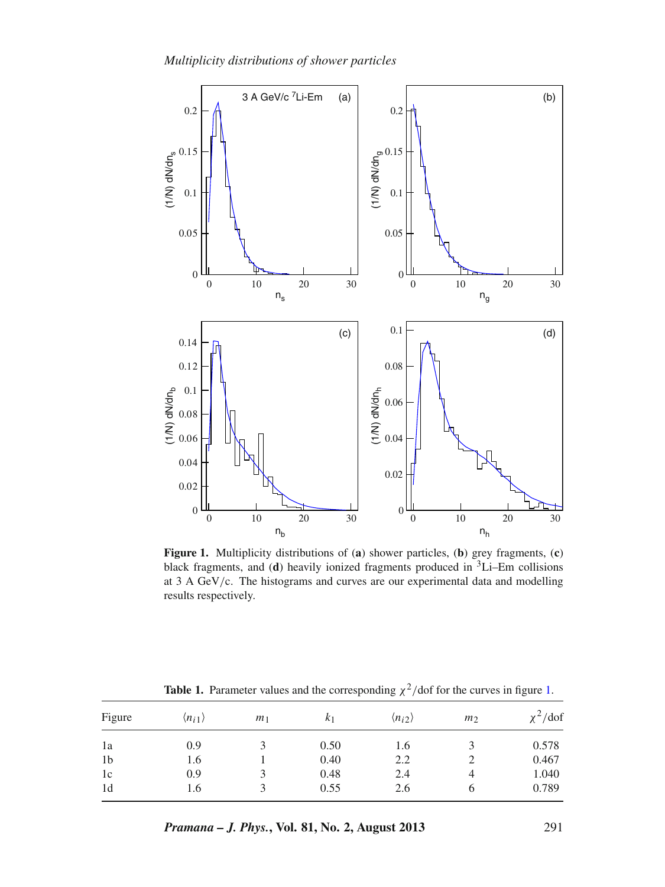<span id="page-4-0"></span>

**Figure 1.** Multiplicity distributions of (**a**) shower particles, (**b**) grey fragments, (**c**) black fragments, and (**d**) heavily ionized fragments produced in 3Li–Em collisions at 3 A GeV/c. The histograms and curves are our experimental data and modelling results respectively.

<span id="page-4-1"></span>

| Figure         | $\langle n_{i1} \rangle$ | m <sub>1</sub> | k <sub>1</sub> | $\langle n_{i2} \rangle$ | m <sub>2</sub> | $\chi^2$ /dof |
|----------------|--------------------------|----------------|----------------|--------------------------|----------------|---------------|
| 1a             | 0.9                      |                | 0.50           | 1.6                      | 3              | 0.578         |
| 1 <sub>b</sub> | 1.6                      |                | 0.40           | 2.2                      | 2              | 0.467         |
| 1c             | 0.9                      |                | 0.48           | 2.4                      | 4              | 1.040         |
| 1 <sub>d</sub> | 1.6                      |                | 0.55           | 2.6                      | 6              | 0.789         |

**Table [1.](#page-4-0)** Parameter values and the corresponding  $\chi^2$ /dof for the curves in figure 1.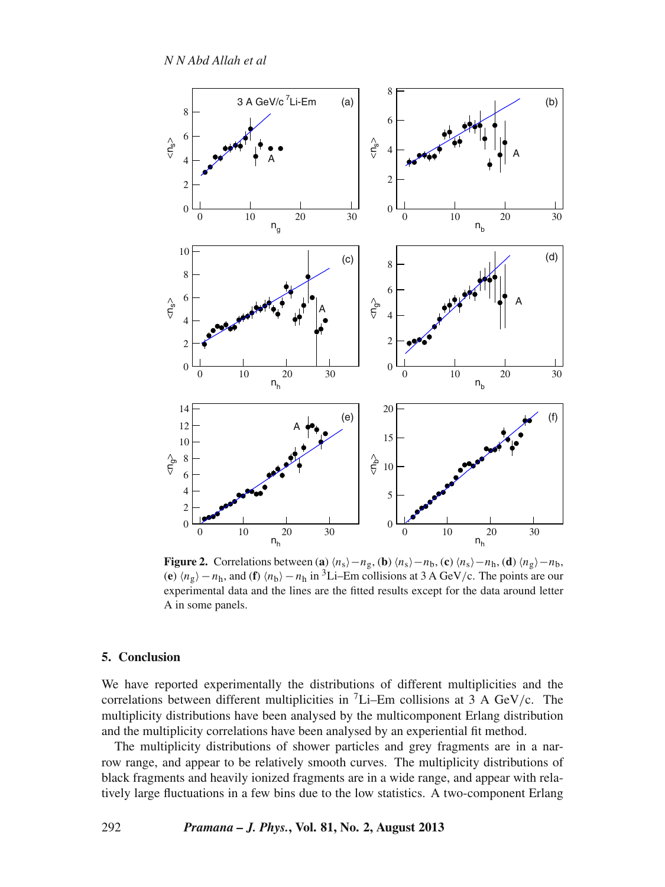*N N Abd Allah et al*

<span id="page-5-0"></span>

**Figure 2.** Correlations between (**a**)  $\langle n_s \rangle - n_g$ , (**b**)  $\langle n_s \rangle - n_b$ , (**c**)  $\langle n_s \rangle - n_h$ , (**d**)  $\langle n_g \rangle - n_b$ , (**e**)  $\langle n_g \rangle - n_h$ , and (**f**)  $\langle n_b \rangle - n_h$  in <sup>3</sup>Li–Em collisions at 3 A GeV/c. The points are our experimental data and the lines are the fitted results except for the data around letter A in some panels.

## **5. Conclusion**

We have reported experimentally the distributions of different multiplicities and the correlations between different multiplicities in  ${}^{7}$ Li–Em collisions at 3 A GeV/c. The multiplicity distributions have been analysed by the multicomponent Erlang distribution and the multiplicity correlations have been analysed by an experiential fit method.

The multiplicity distributions of shower particles and grey fragments are in a narrow range, and appear to be relatively smooth curves. The multiplicity distributions of black fragments and heavily ionized fragments are in a wide range, and appear with relatively large fluctuations in a few bins due to the low statistics. A two-component Erlang